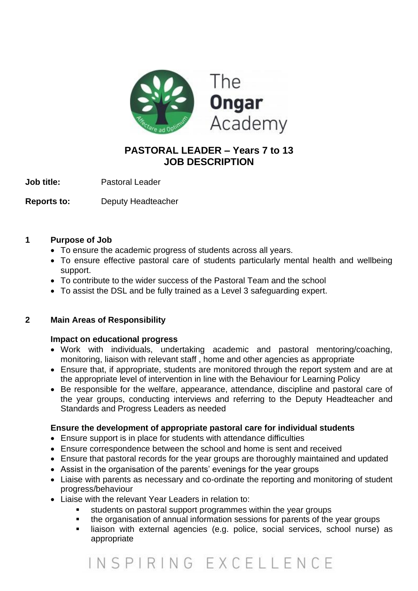

### **PASTORAL LEADER – Years 7 to 13 JOB DESCRIPTION**

**Job title:** Pastoral Leader

**Reports to:** Deputy Headteacher

#### **1 Purpose of Job**

- To ensure the academic progress of students across all years.
- To ensure effective pastoral care of students particularly mental health and wellbeing support.
- To contribute to the wider success of the Pastoral Team and the school
- To assist the DSL and be fully trained as a Level 3 safeguarding expert.

#### **2 Main Areas of Responsibility**

#### **Impact on educational progress**

- Work with individuals, undertaking academic and pastoral mentoring/coaching, monitoring, liaison with relevant staff , home and other agencies as appropriate
- Ensure that, if appropriate, students are monitored through the report system and are at the appropriate level of intervention in line with the Behaviour for Learning Policy
- Be responsible for the welfare, appearance, attendance, discipline and pastoral care of the year groups, conducting interviews and referring to the Deputy Headteacher and Standards and Progress Leaders as needed

#### **Ensure the development of appropriate pastoral care for individual students**

- Ensure support is in place for students with attendance difficulties
- Ensure correspondence between the school and home is sent and received
- Ensure that pastoral records for the year groups are thoroughly maintained and updated
- Assist in the organisation of the parents' evenings for the year groups
- Liaise with parents as necessary and co-ordinate the reporting and monitoring of student progress/behaviour
- Liaise with the relevant Year Leaders in relation to:
	- students on pastoral support programmes within the year groups
	- the organisation of annual information sessions for parents of the year groups
	- liaison with external agencies (e.g. police, social services, school nurse) as appropriate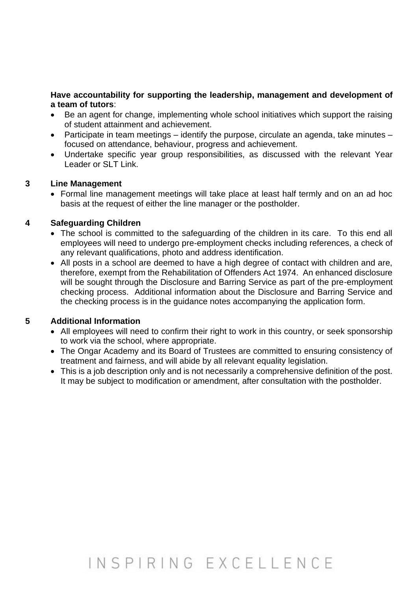#### **Have accountability for supporting the leadership, management and development of a team of tutors**:

- Be an agent for change, implementing whole school initiatives which support the raising of student attainment and achievement.
- Participate in team meetings identify the purpose, circulate an agenda, take minutes focused on attendance, behaviour, progress and achievement.
- Undertake specific year group responsibilities, as discussed with the relevant Year Leader or SLT Link.

#### **3 Line Management**

• Formal line management meetings will take place at least half termly and on an ad hoc basis at the request of either the line manager or the postholder.

#### **4 Safeguarding Children**

- The school is committed to the safeguarding of the children in its care. To this end all employees will need to undergo pre-employment checks including references, a check of any relevant qualifications, photo and address identification.
- All posts in a school are deemed to have a high degree of contact with children and are, therefore, exempt from the Rehabilitation of Offenders Act 1974. An enhanced disclosure will be sought through the Disclosure and Barring Service as part of the pre-employment checking process. Additional information about the Disclosure and Barring Service and the checking process is in the guidance notes accompanying the application form.

#### **5 Additional Information**

- All employees will need to confirm their right to work in this country, or seek sponsorship to work via the school, where appropriate.
- The Ongar Academy and its Board of Trustees are committed to ensuring consistency of treatment and fairness, and will abide by all relevant equality legislation.
- This is a job description only and is not necessarily a comprehensive definition of the post. It may be subject to modification or amendment, after consultation with the postholder.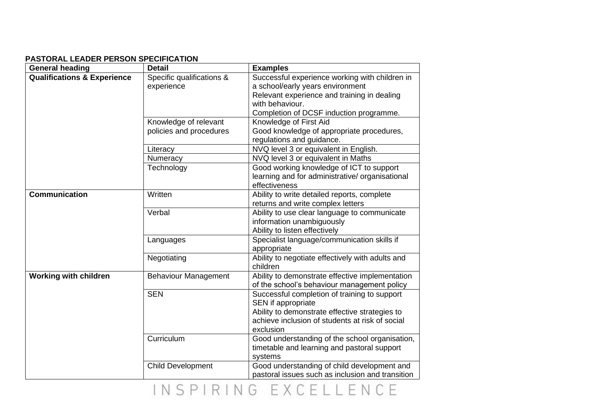#### **PASTORAL LEADER PERSON SPECIFICATION**

| <b>General heading</b>                 | <b>Detail</b>               | <b>Examples</b>                                  |
|----------------------------------------|-----------------------------|--------------------------------------------------|
| <b>Qualifications &amp; Experience</b> | Specific qualifications &   | Successful experience working with children in   |
|                                        | experience                  | a school/early years environment                 |
|                                        |                             | Relevant experience and training in dealing      |
|                                        |                             | with behaviour.                                  |
|                                        |                             | Completion of DCSF induction programme.          |
|                                        | Knowledge of relevant       | Knowledge of First Aid                           |
|                                        | policies and procedures     | Good knowledge of appropriate procedures,        |
|                                        |                             | regulations and guidance.                        |
|                                        | Literacy                    | NVQ level 3 or equivalent in English.            |
|                                        | Numeracy                    | NVQ level 3 or equivalent in Maths               |
|                                        | Technology                  | Good working knowledge of ICT to support         |
|                                        |                             | learning and for administrative/ organisational  |
|                                        |                             | effectiveness                                    |
| <b>Communication</b>                   | Written                     | Ability to write detailed reports, complete      |
|                                        |                             | returns and write complex letters                |
|                                        | Verbal                      | Ability to use clear language to communicate     |
|                                        |                             | information unambiguously                        |
|                                        |                             | Ability to listen effectively                    |
|                                        | Languages                   | Specialist language/communication skills if      |
|                                        |                             | appropriate                                      |
|                                        | Negotiating                 | Ability to negotiate effectively with adults and |
|                                        |                             | children                                         |
| <b>Working with children</b>           | <b>Behaviour Management</b> | Ability to demonstrate effective implementation  |
|                                        |                             | of the school's behaviour management policy      |
|                                        | <b>SEN</b>                  | Successful completion of training to support     |
|                                        |                             | SEN if appropriate                               |
|                                        |                             | Ability to demonstrate effective strategies to   |
|                                        |                             | achieve inclusion of students at risk of social  |
|                                        |                             | exclusion                                        |
|                                        | Curriculum                  | Good understanding of the school organisation,   |
|                                        |                             | timetable and learning and pastoral support      |
|                                        |                             | systems                                          |
|                                        | <b>Child Development</b>    | Good understanding of child development and      |
|                                        |                             | pastoral issues such as inclusion and transition |